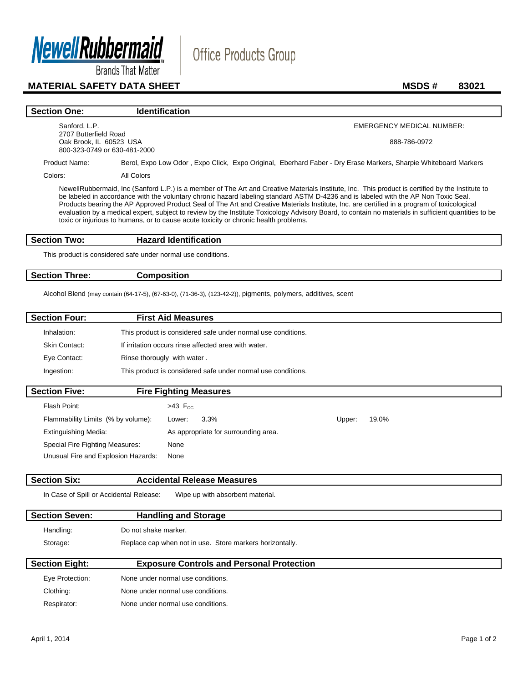

**Brands That Matter** 

# **MATERIAL SAFETY DATA SHEET MSDS # 83021**

## **Section One: Identification** Sanford, L.P. 2707 Butterfield Road Oak Brook, IL 60523 USA 800-323-0749 or 630-481-2000 EMERGENCY MEDICAL NUMBER: 888-786-0972 Product Name: Berol, Expo Low Odor, Expo Click, Expo Original, Eberhard Faber - Dry Erase Markers, Sharpie Whiteboard Markers Colors: All Colors NewellRubbermaid, Inc (Sanford L.P.) is a member of The Art and Creative Materials Institute, Inc. This product is certified by the Institute to be labeled in accordance with the voluntary chronic hazard labeling standard ASTM D-4236 and is labeled with the AP Non Toxic Seal. Products bearing the AP Approved Product Seal of The Art and Creative Materials Institute, Inc. are certified in a program of toxicological evaluation by a medical expert, subject to review by the Institute Toxicology Advisory Board, to contain no materials in sufficient quantities to be toxic or injurious to humans, or to cause acute toxicity or chronic health problems. **Section Two: Hazard Identification**

Office Products Group

This product is considered safe under normal use conditions.

### **Section Three: Composition**

Alcohol Blend (may contain (64-17-5), (67-63-0), (71-36-3), (123-42-2)), pigments, polymers, additives, scent

| <b>Section Four:</b> | <b>First Aid Measures</b>                                    |  |
|----------------------|--------------------------------------------------------------|--|
| Inhalation:          | This product is considered safe under normal use conditions. |  |
| Skin Contact:        | If irritation occurs rinse affected area with water.         |  |
| Eye Contact:         | Rinse thorougly with water.                                  |  |
| Ingestion:           | This product is considered safe under normal use conditions. |  |
| <b>Section Five:</b> | <b>Fire Fighting Measures</b>                                |  |

| Flash Point:                        | $>43$ F <sub>cc</sub>                |        |       |
|-------------------------------------|--------------------------------------|--------|-------|
| Flammability Limits (% by volume):  | $3.3\%$<br>Lower:                    | Upper: | 19.0% |
| <b>Extinguishing Media:</b>         | As appropriate for surrounding area. |        |       |
| Special Fire Fighting Measures:     | None                                 |        |       |
| Unusual Fire and Explosion Hazards: | None                                 |        |       |

# **Section Six: Accidental Release Measures**

In Case of Spill or Accidental Release: Wipe up with absorbent material.

| <b>Section Seven:</b> | <b>Handling and Storage</b>                              |  |
|-----------------------|----------------------------------------------------------|--|
| Handling:             | Do not shake marker.                                     |  |
| Storage:              | Replace cap when not in use. Store markers horizontally. |  |
| <b>Section Eight:</b> | <b>Exposure Controls and Personal Protection</b>         |  |
| Eye Protection:       | None under normal use conditions.                        |  |

| Eve Protection: | None under normal use conditions. |
|-----------------|-----------------------------------|
| Clothing:       | None under normal use conditions. |
| Respirator:     | None under normal use conditions. |